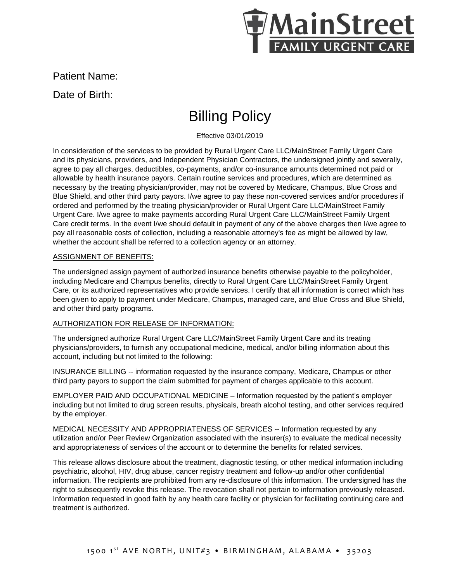

Patient Name:

Date of Birth:

# Billing Policy

Effective 03/01/2019

In consideration of the services to be provided by Rural Urgent Care LLC/MainStreet Family Urgent Care and its physicians, providers, and Independent Physician Contractors, the undersigned jointly and severally, agree to pay all charges, deductibles, co-payments, and/or co-insurance amounts determined not paid or allowable by health insurance payors. Certain routine services and procedures, which are determined as necessary by the treating physician/provider, may not be covered by Medicare, Champus, Blue Cross and Blue Shield, and other third party payors. I/we agree to pay these non-covered services and/or procedures if ordered and performed by the treating physician/provider or Rural Urgent Care LLC/MainStreet Family Urgent Care. I/we agree to make payments according Rural Urgent Care LLC/MainStreet Family Urgent Care credit terms. In the event I/we should default in payment of any of the above charges then I/we agree to pay all reasonable costs of collection, including a reasonable attorney's fee as might be allowed by law, whether the account shall be referred to a collection agency or an attorney.

## ASSIGNMENT OF BENEFITS:

The undersigned assign payment of authorized insurance benefits otherwise payable to the policyholder, including Medicare and Champus benefits, directly to Rural Urgent Care LLC/MainStreet Family Urgent Care, or its authorized representatives who provide services. I certify that all information is correct which has been given to apply to payment under Medicare, Champus, managed care, and Blue Cross and Blue Shield, and other third party programs.

## AUTHORIZATION FOR RELEASE OF INFORMATION:

The undersigned authorize Rural Urgent Care LLC/MainStreet Family Urgent Care and its treating physicians/providers, to furnish any occupational medicine, medical, and/or billing information about this account, including but not limited to the following:

INSURANCE BILLING -- information requested by the insurance company, Medicare, Champus or other third party payors to support the claim submitted for payment of charges applicable to this account.

EMPLOYER PAID AND OCCUPATIONAL MEDICINE – Information requested by the patient's employer including but not limited to drug screen results, physicals, breath alcohol testing, and other services required by the employer.

MEDICAL NECESSITY AND APPROPRIATENESS OF SERVICES -- Information requested by any utilization and/or Peer Review Organization associated with the insurer(s) to evaluate the medical necessity and appropriateness of services of the account or to determine the benefits for related services.

This release allows disclosure about the treatment, diagnostic testing, or other medical information including psychiatric, alcohol, HIV, drug abuse, cancer registry treatment and follow-up and/or other confidential information. The recipients are prohibited from any re-disclosure of this information. The undersigned has the right to subsequently revoke this release. The revocation shall not pertain to information previously released. Information requested in good faith by any health care facility or physician for facilitating continuing care and treatment is authorized.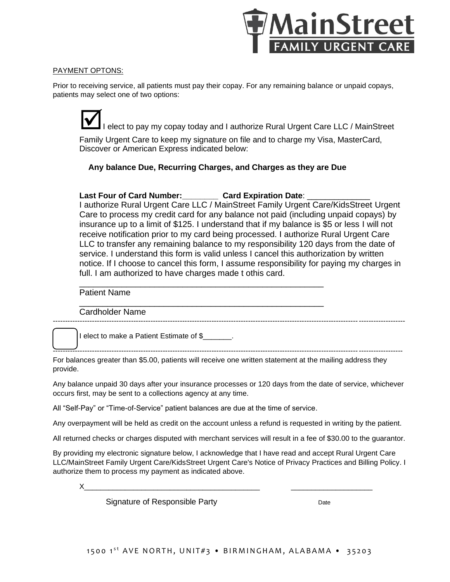

## PAYMENT OPTONS:

Prior to receiving service, all patients must pay their copay. For any remaining balance or unpaid copays, patients may select one of two options:

I elect to pay my copay today and I authorize Rural Urgent Care LLC / MainStreet Family Urgent Care to keep my signature on file and to charge my Visa, MasterCard, Discover or American Express indicated below:

 **Any balance Due, Recurring Charges, and Charges as they are Due**

## Last Four of Card Number: Card Expiration Date:

\_\_\_\_\_\_\_\_\_\_\_\_\_\_\_\_\_\_\_\_\_\_\_\_\_\_\_\_\_\_\_\_\_\_\_\_\_\_\_\_\_\_\_\_\_\_\_\_\_\_\_\_

\_\_\_\_\_\_\_\_\_\_\_\_\_\_\_\_\_\_\_\_\_\_\_\_\_\_\_\_\_\_\_\_\_\_\_\_\_\_\_\_\_\_\_\_\_\_\_\_\_\_\_\_

I authorize Rural Urgent Care LLC / MainStreet Family Urgent Care/KidsStreet Urgent Care to process my credit card for any balance not paid (including unpaid copays) by insurance up to a limit of \$125. I understand that if my balance is \$5 or less I will not receive notification prior to my card being processed. I authorize Rural Urgent Care LLC to transfer any remaining balance to my responsibility 120 days from the date of service. I understand this form is valid unless I cancel this authorization by written notice. If I choose to cancel this form, I assume responsibility for paying my charges in full. I am authorized to have charges made t othis card.

------------------------------------------------------------------------------------------------------------------------------------------------

-----------------------------------------------------------------------------------------------------------------------------------------------

## Patient Name

Cardholder Name

I elect to make a Patient Estimate of \$\_\_\_\_\_\_\_.

For balances greater than \$5.00, patients will receive one written statement at the mailing address they provide.

Any balance unpaid 30 days after your insurance processes or 120 days from the date of service, whichever occurs first, may be sent to a collections agency at any time.

All "Self-Pay" or "Time-of-Service" patient balances are due at the time of service.

Any overpayment will be held as credit on the account unless a refund is requested in writing by the patient.

All returned checks or charges disputed with merchant services will result in a fee of \$30.00 to the guarantor.

By providing my electronic signature below, I acknowledge that I have read and accept Rural Urgent Care LLC/MainStreet Family Urgent Care/KidsStreet Urgent Care's Notice of Privacy Practices and Billing Policy. I authorize them to process my payment as indicated above.

X\_\_\_\_\_\_\_\_\_\_\_\_\_\_\_\_\_\_\_\_\_\_\_\_\_\_\_\_\_\_\_\_\_\_\_\_\_\_\_\_\_\_\_ \_\_\_\_\_\_\_\_\_\_\_\_\_\_\_\_\_\_\_\_

Signature of Responsible Party **Date** Date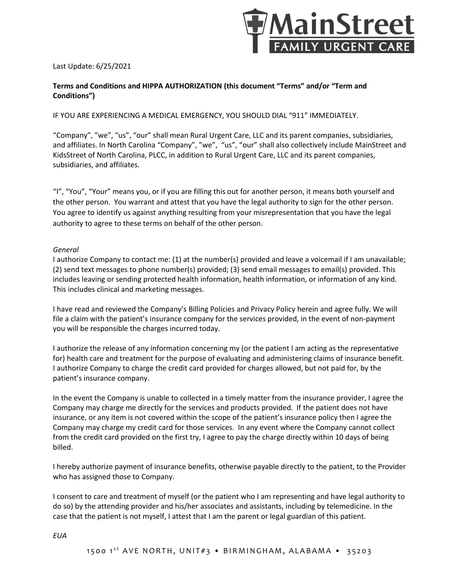

#### Last Update: 6/25/2021

## **Terms and Conditions and HIPPA AUTHORIZATION (this document "Terms" and/or "Term and Conditions")**

IF YOU ARE EXPERIENCING A MEDICAL EMERGENCY, YOU SHOULD DIAL "911" IMMEDIATELY.

"Company", "we", "us", "our" shall mean Rural Urgent Care, LLC and its parent companies, subsidiaries, and affiliates. In North Carolina "Company", "we", "us", "our" shall also collectively include MainStreet and KidsStreet of North Carolina, PLCC, in addition to Rural Urgent Care, LLC and its parent companies, subsidiaries, and affiliates.

"I", "You", "Your" means you, or if you are filling this out for another person, it means both yourself and the other person. You warrant and attest that you have the legal authority to sign for the other person. You agree to identify us against anything resulting from your misrepresentation that you have the legal authority to agree to these terms on behalf of the other person.

#### *General*

I authorize Company to contact me: (1) at the number(s) provided and leave a voicemail if I am unavailable; (2) send text messages to phone number(s) provided; (3) send email messages to email(s) provided. This includes leaving or sending protected health information, health information, or information of any kind. This includes clinical and marketing messages.

I have read and reviewed the Company's Billing Policies and Privacy Policy herein and agree fully. We will file a claim with the patient's insurance company for the services provided, in the event of non-payment you will be responsible the charges incurred today.

I authorize the release of any information concerning my (or the patient I am acting as the representative for) health care and treatment for the purpose of evaluating and administering claims of insurance benefit. I authorize Company to charge the credit card provided for charges allowed, but not paid for, by the patient's insurance company.

In the event the Company is unable to collected in a timely matter from the insurance provider, I agree the Company may charge me directly for the services and products provided. If the patient does not have insurance, or any item is not covered within the scope of the patient's insurance policy then I agree the Company may charge my credit card for those services. In any event where the Company cannot collect from the credit card provided on the first try, I agree to pay the charge directly within 10 days of being billed.

I hereby authorize payment of insurance benefits, otherwise payable directly to the patient, to the Provider who has assigned those to Company.

I consent to care and treatment of myself (or the patient who I am representing and have legal authority to do so) by the attending provider and his/her associates and assistants, including by telemedicine. In the case that the patient is not myself, I attest that I am the parent or legal guardian of this patient.

*EUA*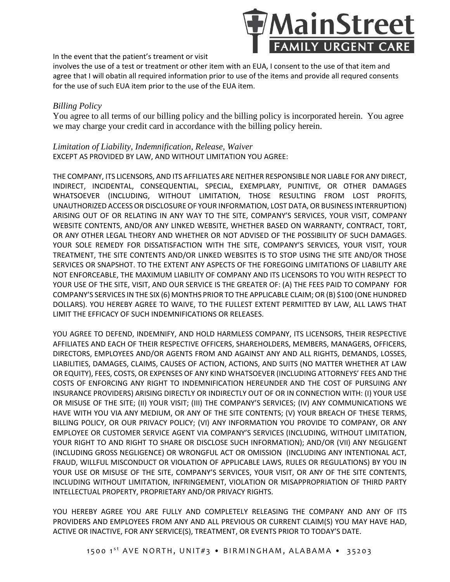

In the event that the patient's treament or visit

involves the use of a test or treatment or other item with an EUA, I consent to the use of that item and agree that I will obatin all required information prior to use of the items and provide all requred consents for the use of such EUA item prior to the use of the EUA item.

## *Billing Policy*

You agree to all terms of our billing policy and the billing policy is incorporated herein. You agree we may charge your credit card in accordance with the billing policy herein.

*Limitation of Liability, Indemnification, Release, Waiver* EXCEPT AS PROVIDED BY LAW, AND WITHOUT LIMITATION YOU AGREE:

THE COMPANY, ITS LICENSORS, AND ITS AFFILIATES ARE NEITHER RESPONSIBLE NOR LIABLE FOR ANY DIRECT, INDIRECT, INCIDENTAL, CONSEQUENTIAL, SPECIAL, EXEMPLARY, PUNITIVE, OR OTHER DAMAGES WHATSOEVER (INCLUDING, WITHOUT LIMITATION, THOSE RESULTING FROM LOST PROFITS, UNAUTHORIZED ACCESS OR DISCLOSURE OF YOUR INFORMATION, LOST DATA, OR BUSINESS INTERRUPTION) ARISING OUT OF OR RELATING IN ANY WAY TO THE SITE, COMPANY'S SERVICES, YOUR VISIT, COMPANY WEBSITE CONTENTS, AND/OR ANY LINKED WEBSITE, WHETHER BASED ON WARRANTY, CONTRACT, TORT, OR ANY OTHER LEGAL THEORY AND WHETHER OR NOT ADVISED OF THE POSSIBILITY OF SUCH DAMAGES. YOUR SOLE REMEDY FOR DISSATISFACTION WITH THE SITE, COMPANY'S SERVICES, YOUR VISIT, YOUR TREATMENT, THE SITE CONTENTS AND/OR LINKED WEBSITES IS TO STOP USING THE SITE AND/OR THOSE SERVICES OR SNAPSHOT. TO THE EXTENT ANY ASPECTS OF THE FOREGOING LIMITATIONS OF LIABILITY ARE NOT ENFORCEABLE, THE MAXIMUM LIABILITY OF COMPANY AND ITS LICENSORS TO YOU WITH RESPECT TO YOUR USE OF THE SITE, VISIT, AND OUR SERVICE IS THE GREATER OF: (A) THE FEES PAID TO COMPANY FOR COMPANY'S SERVICES IN THE SIX (6) MONTHS PRIOR TO THE APPLICABLE CLAIM; OR (B) \$100 (ONE HUNDRED DOLLARS). YOU HEREBY AGREE TO WAIVE, TO THE FULLEST EXTENT PERMITTED BY LAW, ALL LAWS THAT LIMIT THE EFFICACY OF SUCH INDEMNIFICATIONS OR RELEASES.

YOU AGREE TO DEFEND, INDEMNIFY, AND HOLD HARMLESS COMPANY, ITS LICENSORS, THEIR RESPECTIVE AFFILIATES AND EACH OF THEIR RESPECTIVE OFFICERS, SHAREHOLDERS, MEMBERS, MANAGERS, OFFICERS, DIRECTORS, EMPLOYEES AND/OR AGENTS FROM AND AGAINST ANY AND ALL RIGHTS, DEMANDS, LOSSES, LIABILITIES, DAMAGES, CLAIMS, CAUSES OF ACTION, ACTIONS, AND SUITS (NO MATTER WHETHER AT LAW OR EQUITY), FEES, COSTS, OR EXPENSES OF ANY KIND WHATSOEVER (INCLUDING ATTORNEYS' FEES AND THE COSTS OF ENFORCING ANY RIGHT TO INDEMNIFICATION HEREUNDER AND THE COST OF PURSUING ANY INSURANCE PROVIDERS) ARISING DIRECTLY OR INDIRECTLY OUT OF OR IN CONNECTION WITH: (I) YOUR USE OR MISUSE OF THE SITE; (II) YOUR VISIT; (III) THE COMPANY'S SERVICES; (IV) ANY COMMUNICATIONS WE HAVE WITH YOU VIA ANY MEDIUM, OR ANY OF THE SITE CONTENTS; (V) YOUR BREACH OF THESE TERMS, BILLING POLICY, OR OUR PRIVACY POLICY; (VI) ANY INFORMATION YOU PROVIDE TO COMPANY, OR ANY EMPLOYEE OR CUSTOMER SERVICE AGENT VIA COMPANY'S SERVICES (INCLUDING, WITHOUT LIMITATION, YOUR RIGHT TO AND RIGHT TO SHARE OR DISCLOSE SUCH INFORMATION); AND/OR (VII) ANY NEGLIGENT (INCLUDING GROSS NEGLIGENCE) OR WRONGFUL ACT OR OMISSION (INCLUDING ANY INTENTIONAL ACT, FRAUD, WILLFUL MISCONDUCT OR VIOLATION OF APPLICABLE LAWS, RULES OR REGULATIONS) BY YOU IN YOUR USE OR MISUSE OF THE SITE, COMPANY'S SERVICES, YOUR VISIT, OR ANY OF THE SITE CONTENTS, INCLUDING WITHOUT LIMITATION, INFRINGEMENT, VIOLATION OR MISAPPROPRIATION OF THIRD PARTY INTELLECTUAL PROPERTY, PROPRIETARY AND/OR PRIVACY RIGHTS.

YOU HEREBY AGREE YOU ARE FULLY AND COMPLETELY RELEASING THE COMPANY AND ANY OF ITS PROVIDERS AND EMPLOYEES FROM ANY AND ALL PREVIOUS OR CURRENT CLAIM(S) YOU MAY HAVE HAD, ACTIVE OR INACTIVE, FOR ANY SERVICE(S), TREATMENT, OR EVENTS PRIOR TO TODAY'S DATE.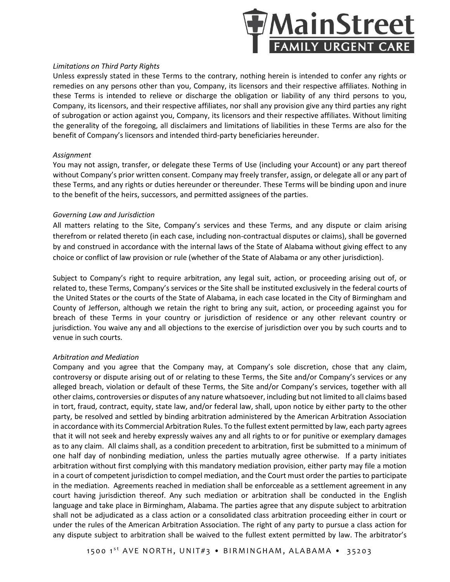

#### *Limitations on Third Party Rights*

Unless expressly stated in these Terms to the contrary, nothing herein is intended to confer any rights or remedies on any persons other than you, Company, its licensors and their respective affiliates. Nothing in these Terms is intended to relieve or discharge the obligation or liability of any third persons to you, Company, its licensors, and their respective affiliates, nor shall any provision give any third parties any right of subrogation or action against you, Company, its licensors and their respective affiliates. Without limiting the generality of the foregoing, all disclaimers and limitations of liabilities in these Terms are also for the benefit of Company's licensors and intended third-party beneficiaries hereunder.

#### *Assignment*

You may not assign, transfer, or delegate these Terms of Use (including your Account) or any part thereof without Company's prior written consent. Company may freely transfer, assign, or delegate all or any part of these Terms, and any rights or duties hereunder or thereunder. These Terms will be binding upon and inure to the benefit of the heirs, successors, and permitted assignees of the parties.

## *Governing Law and Jurisdiction*

All matters relating to the Site, Company's services and these Terms, and any dispute or claim arising therefrom or related thereto (in each case, including non-contractual disputes or claims), shall be governed by and construed in accordance with the internal laws of the State of Alabama without giving effect to any choice or conflict of law provision or rule (whether of the State of Alabama or any other jurisdiction).

Subject to Company's right to require arbitration, any legal suit, action, or proceeding arising out of, or related to, these Terms, Company's services or the Site shall be instituted exclusively in the federal courts of the United States or the courts of the State of Alabama, in each case located in the City of Birmingham and County of Jefferson, although we retain the right to bring any suit, action, or proceeding against you for breach of these Terms in your country or jurisdiction of residence or any other relevant country or jurisdiction. You waive any and all objections to the exercise of jurisdiction over you by such courts and to venue in such courts.

## *Arbitration and Mediation*

Company and you agree that the Company may, at Company's sole discretion, chose that any claim, controversy or dispute arising out of or relating to these Terms, the Site and/or Company's services or any alleged breach, violation or default of these Terms, the Site and/or Company's services, together with all other claims, controversies or disputes of any nature whatsoever, including but not limited to all claims based in tort, fraud, contract, equity, state law, and/or federal law, shall, upon notice by either party to the other party, be resolved and settled by binding arbitration administered by the American Arbitration Association in accordance with its Commercial Arbitration Rules. To the fullest extent permitted by law, each party agrees that it will not seek and hereby expressly waives any and all rights to or for punitive or exemplary damages as to any claim. All claims shall, as a condition precedent to arbitration, first be submitted to a minimum of one half day of nonbinding mediation, unless the parties mutually agree otherwise. If a party initiates arbitration without first complying with this mandatory mediation provision, either party may file a motion in a court of competent jurisdiction to compel mediation, and the Court must order the parties to participate in the mediation. Agreements reached in mediation shall be enforceable as a settlement agreement in any court having jurisdiction thereof. Any such mediation or arbitration shall be conducted in the English language and take place in Birmingham, Alabama. The parties agree that any dispute subject to arbitration shall not be adjudicated as a class action or a consolidated class arbitration proceeding either in court or under the rules of the American Arbitration Association. The right of any party to pursue a class action for any dispute subject to arbitration shall be waived to the fullest extent permitted by law. The arbitrator's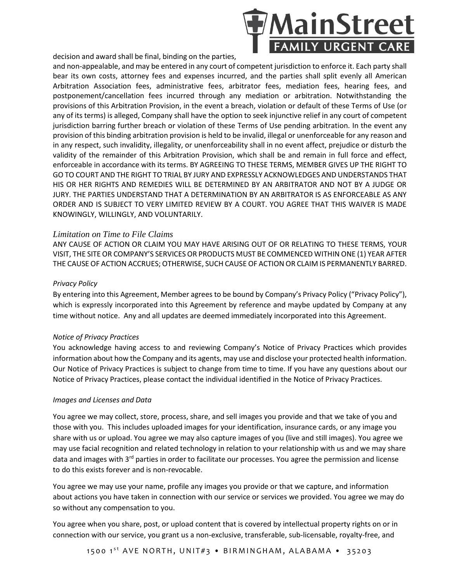decision and award shall be final, binding on the parties,



and non-appealable, and may be entered in any court of competent jurisdiction to enforce it. Each party shall bear its own costs, attorney fees and expenses incurred, and the parties shall split evenly all American Arbitration Association fees, administrative fees, arbitrator fees, mediation fees, hearing fees, and postponement/cancellation fees incurred through any mediation or arbitration. Notwithstanding the provisions of this Arbitration Provision, in the event a breach, violation or default of these Terms of Use (or any of its terms) is alleged, Company shall have the option to seek injunctive relief in any court of competent jurisdiction barring further breach or violation of these Terms of Use pending arbitration. In the event any provision of this binding arbitration provision is held to be invalid, illegal or unenforceable for any reason and in any respect, such invalidity, illegality, or unenforceability shall in no event affect, prejudice or disturb the validity of the remainder of this Arbitration Provision, which shall be and remain in full force and effect, enforceable in accordance with its terms. BY AGREEING TO THESE TERMS, MEMBER GIVES UP THE RIGHT TO GO TO COURT AND THE RIGHT TO TRIAL BY JURY AND EXPRESSLY ACKNOWLEDGES AND UNDERSTANDS THAT HIS OR HER RIGHTS AND REMEDIES WILL BE DETERMINED BY AN ARBITRATOR AND NOT BY A JUDGE OR JURY. THE PARTIES UNDERSTAND THAT A DETERMINATION BY AN ARBITRATOR IS AS ENFORCEABLE AS ANY ORDER AND IS SUBJECT TO VERY LIMITED REVIEW BY A COURT. YOU AGREE THAT THIS WAIVER IS MADE KNOWINGLY, WILLINGLY, AND VOLUNTARILY.

## *Limitation on Time to File Claims*

ANY CAUSE OF ACTION OR CLAIM YOU MAY HAVE ARISING OUT OF OR RELATING TO THESE TERMS, YOUR VISIT, THE SITE OR COMPANY'S SERVICES OR PRODUCTS MUST BE COMMENCED WITHIN ONE (1) YEAR AFTER THE CAUSE OF ACTION ACCRUES; OTHERWISE, SUCH CAUSE OF ACTION OR CLAIM IS PERMANENTLY BARRED.

## *Privacy Policy*

By entering into this Agreement, Member agrees to be bound by Company's Privacy Policy ("Privacy Policy"), which is expressly incorporated into this Agreement by reference and maybe updated by Company at any time without notice. Any and all updates are deemed immediately incorporated into this Agreement.

## *Notice of Privacy Practices*

You acknowledge having access to and reviewing Company's Notice of Privacy Practices which provides information about how the Company and its agents, may use and disclose your protected health information. Our Notice of Privacy Practices is subject to change from time to time. If you have any questions about our Notice of Privacy Practices, please contact the individual identified in the Notice of Privacy Practices.

## *Images and Licenses and Data*

You agree we may collect, store, process, share, and sell images you provide and that we take of you and those with you. This includes uploaded images for your identification, insurance cards, or any image you share with us or upload. You agree we may also capture images of you (live and still images). You agree we may use facial recognition and related technology in relation to your relationship with us and we may share data and images with 3<sup>rd</sup> parties in order to facilitate our processes. You agree the permission and license to do this exists forever and is non-revocable.

You agree we may use your name, profile any images you provide or that we capture, and information about actions you have taken in connection with our service or services we provided. You agree we may do so without any compensation to you.

You agree when you share, post, or upload content that is covered by intellectual property rights on or in connection with our service, you grant us a non-exclusive, transferable, sub-licensable, royalty-free, and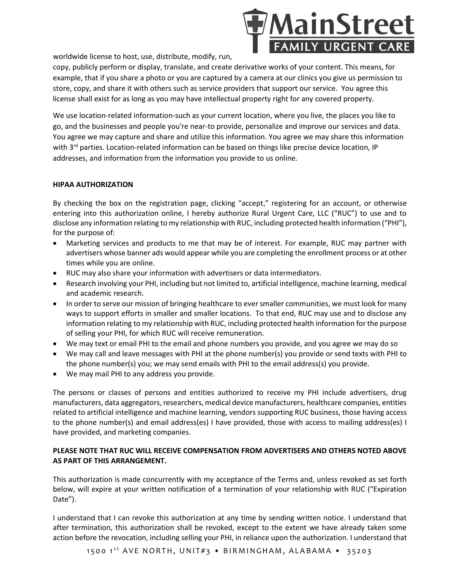

worldwide license to host, use, distribute, modify, run,

copy, publicly perform or display, translate, and create derivative works of your content. This means, for example, that if you share a photo or you are captured by a camera at our clinics you give us permission to store, copy, and share it with others such as service providers that support our service. You agree this license shall exist for as long as you may have intellectual property right for any covered property.

We use location-related information-such as your current location, where you live, the places you like to go, and the businesses and people you're near-to provide, personalize and improve our services and data. You agree we may capture and share and utilize this information. You agree we may share this information with 3<sup>rd</sup> parties. Location-related information can be based on things like precise device location, IP addresses, and information from the information you provide to us online.

#### **HIPAA AUTHORIZATION**

By checking the box on the registration page, clicking "accept," registering for an account, or otherwise entering into this authorization online, I hereby authorize Rural Urgent Care, LLC ("RUC") to use and to disclose any information relating to my relationship with RUC, including protected health information ("PHI"), for the purpose of:

- Marketing services and products to me that may be of interest. For example, RUC may partner with advertisers whose banner ads would appear while you are completing the enrollment process or at other times while you are online.
- RUC may also share your information with advertisers or data intermediators.
- Research involving your PHI, including but not limited to, artificial intelligence, machine learning, medical and academic research.
- In order to serve our mission of bringing healthcare to ever smaller communities, we must look for many ways to support efforts in smaller and smaller locations. To that end, RUC may use and to disclose any information relating to my relationship with RUC, including protected health information for the purpose of selling your PHI, for which RUC will receive remuneration.
- We may text or email PHI to the email and phone numbers you provide, and you agree we may do so
- We may call and leave messages with PHI at the phone number(s) you provide or send texts with PHI to the phone number(s) you; we may send emails with PHI to the email address(s) you provide.
- We may mail PHI to any address you provide.

The persons or classes of persons and entities authorized to receive my PHI include advertisers, drug manufacturers, data aggregators, researchers, medical device manufacturers, healthcare companies, entities related to artificial intelligence and machine learning, vendors supporting RUC business, those having access to the phone number(s) and email address(es) I have provided, those with access to mailing address(es) I have provided, and marketing companies.

## **PLEASE NOTE THAT RUC WILL RECEIVE COMPENSATION FROM ADVERTISERS AND OTHERS NOTED ABOVE AS PART OF THIS ARRANGEMENT.**

This authorization is made concurrently with my acceptance of the Terms and, unless revoked as set forth below, will expire at your written notification of a termination of your relationship with RUC ("Expiration Date").

I understand that I can revoke this authorization at any time by sending written notice. I understand that after termination, this authorization shall be revoked, except to the extent we have already taken some action before the revocation, including selling your PHI, in reliance upon the authorization. I understand that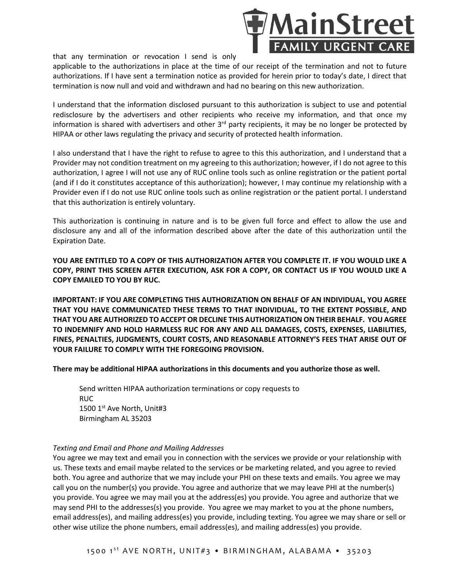

that any termination or revocation I send is only

applicable to the authorizations in place at the time of our receipt of the termination and not to future authorizations. If I have sent a termination notice as provided for herein prior to today's date, I direct that termination is now null and void and withdrawn and had no bearing on this new authorization.

I understand that the information disclosed pursuant to this authorization is subject to use and potential redisclosure by the advertisers and other recipients who receive my information, and that once my information is shared with advertisers and other 3<sup>rd</sup> party recipients, it may be no longer be protected by HIPAA or other laws regulating the privacy and security of protected health information.

I also understand that I have the right to refuse to agree to this this authorization, and I understand that a Provider may not condition treatment on my agreeing to this authorization; however, if I do not agree to this authorization, I agree I will not use any of RUC online tools such as online registration or the patient portal (and if I do it constitutes acceptance of this authorization); however, I may continue my relationship with a Provider even if I do not use RUC online tools such as online registration or the patient portal. I understand that this authorization is entirely voluntary.

This authorization is continuing in nature and is to be given full force and effect to allow the use and disclosure any and all of the information described above after the date of this authorization until the Expiration Date.

**YOU ARE ENTITLED TO A COPY OF THIS AUTHORIZATION AFTER YOU COMPLETE IT. IF YOU WOULD LIKE A COPY, PRINT THIS SCREEN AFTER EXECUTION, ASK FOR A COPY, OR CONTACT US IF YOU WOULD LIKE A COPY EMAILED TO YOU BY RUC.**

**IMPORTANT: IF YOU ARE COMPLETING THIS AUTHORIZATION ON BEHALF OF AN INDIVIDUAL, YOU AGREE THAT YOU HAVE COMMUNICATED THESE TERMS TO THAT INDIVIDUAL, TO THE EXTENT POSSIBLE, AND THAT YOU ARE AUTHORIZED TO ACCEPT OR DECLINE THIS AUTHORIZATION ON THEIR BEHALF. YOU AGREE TO INDEMNIFY AND HOLD HARMLESS RUC FOR ANY AND ALL DAMAGES, COSTS, EXPENSES, LIABILITIES, FINES, PENALTIES, JUDGMENTS, COURT COSTS, AND REASONABLE ATTORNEY'S FEES THAT ARISE OUT OF YOUR FAILURE TO COMPLY WITH THE FOREGOING PROVISION.**

**There may be additional HIPAA authorizations in this documents and you authorize those as well.**

Send written HIPAA authorization terminations or copy requests to RUC 1500 1st Ave North, Unit#3 Birmingham AL 35203

#### *Texting and Email and Phone and Mailing Addresses*

You agree we may text and email you in connection with the services we provide or your relationship with us. These texts and email maybe related to the services or be marketing related, and you agree to revied both. You agree and authorize that we may include your PHI on these texts and emails. You agree we may call you on the number(s) you provide. You agree and authorize that we may leave PHI at the number(s) you provide. You agree we may mail you at the address(es) you provide. You agree and authorize that we may send PHI to the addresses(s) you provide. You agree we may market to you at the phone numbers, email address(es), and mailing address(es) you provide, including texting. You agree we may share or sell or other wise utilize the phone numbers, email address(es), and mailing address(es) you provide.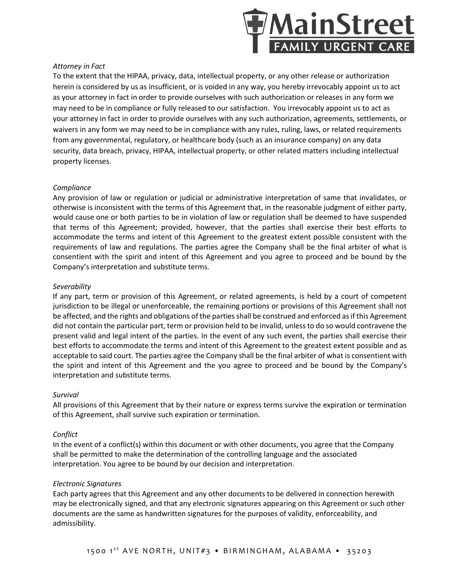

#### *Attorney in Fact*

To the extent that the HIPAA, privacy, data, intellectual property, or any other release or authorization herein is considered by us as insufficient, or is voided in any way, you hereby irrevocably appoint us to act as your attorney in fact in order to provide ourselves with such authorization or releases in any form we may need to be in compliance or fully released to our satisfaction. You irrevocably appoint us to act as your attorney in fact in order to provide ourselves with any such authorization, agreements, settlements, or waivers in any form we may need to be in compliance with any rules, ruling, laws, or related requirements from any governmental, regulatory, or healthcare body (such as an insurance company) on any data security, data breach, privacy, HIPAA, intellectual property, or other related matters including intellectual property licenses.

#### *Compliance*

Any provision of law or regulation or judicial or administrative interpretation of same that invalidates, or otherwise is inconsistent with the terms of this Agreement that, in the reasonable judgment of either party, would cause one or both parties to be in violation of law or regulation shall be deemed to have suspended that terms of this Agreement; provided, however, that the parties shall exercise their best efforts to accommodate the terms and intent of this Agreement to the greatest extent possible consistent with the requirements of law and regulations. The parties agree the Company shall be the final arbiter of what is consentient with the spirit and intent of this Agreement and you agree to proceed and be bound by the Company's interpretation and substitute terms.

#### *Severability*

If any part, term or provision of this Agreement, or related agreements, is held by a court of competent jurisdiction to be illegal or unenforceable, the remaining portions or provisions of this Agreement shall not be affected, and the rights and obligations of the parties shall be construed and enforced as if this Agreement did not contain the particular part, term or provision held to be invalid, unless to do so would contravene the present valid and legal intent of the parties. In the event of any such event, the parties shall exercise their best efforts to accommodate the terms and intent of this Agreement to the greatest extent possible and as acceptable to said court. The parties agree the Company shall be the final arbiter of what is consentient with the spirit and intent of this Agreement and the you agree to proceed and be bound by the Company's interpretation and substitute terms.

#### *Survival*

All provisions of this Agreement that by their nature or express terms survive the expiration or termination of this Agreement, shall survive such expiration or termination.

## *Conflict*

In the event of a conflict(s) within this document or with other documents, you agree that the Company shall be permitted to make the determination of the controlling language and the associated interpretation. You agree to be bound by our decision and interpretation.

#### *Electronic Signatures*

Each party agrees that this Agreement and any other documents to be delivered in connection herewith may be electronically signed, and that any electronic signatures appearing on this Agreement or such other documents are the same as handwritten signatures for the purposes of validity, enforceability, and admissibility.